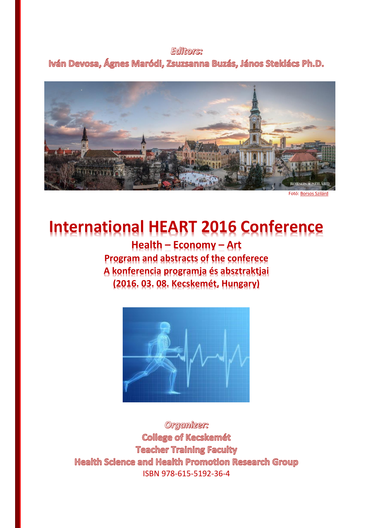## **Editors:**

Iván Devosa, Ágnes Maródi, Zsuzsanna Buzás, János Steklács Ph.D.



# **International HEART 2016 Conference**

**Health – Economy – Art Program and abstracts of the conferece A konferencia programja és absztraktjai (2016. 03. 08. Kecskemét, Hungary)**



Organizer: **College of Kecskemét Teacher Training Faculty** Health Science and Health Promotion Research Group ISBN 978-615-5192-36-4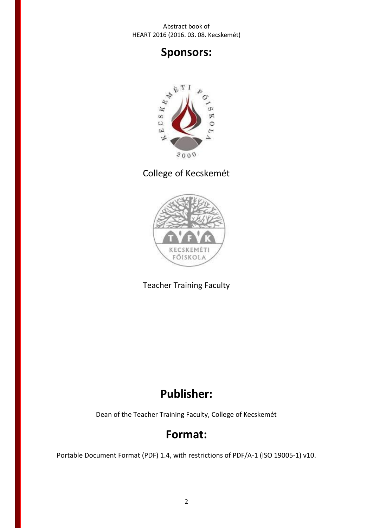## **Sponsors:**



## College of Kecskemét



Teacher Training Faculty

## **Publisher:**

Dean of the Teacher Training Faculty, College of Kecskemét

## **Format:**

Portable Document Format (PDF) 1.4, with restrictions of PDF/A-1 (ISO 19005-1) v10.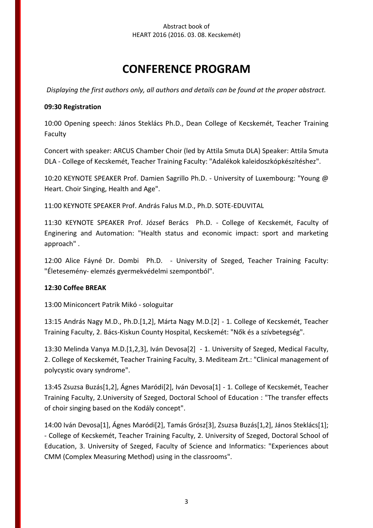## **CONFERENCE PROGRAM**

*Displaying the first authors only, all authors and details can be found at the proper abstract.*

## **09:30 Registration**

10:00 Opening speech: János Steklács Ph.D., Dean College of Kecskemét, Teacher Training Faculty

Concert with speaker: ARCUS Chamber Choir (led by Attila Smuta DLA) Speaker: Attila Smuta DLA - College of Kecskemét, Teacher Training Faculty: "Adalékok kaleidoszkópkészítéshez".

10:20 KEYNOTE SPEAKER Prof. Damien Sagrillo Ph.D. - University of Luxembourg: "Young @ Heart. Choir Singing, Health and Age".

11:00 KEYNOTE SPEAKER Prof. András Falus M.D., Ph.D. SOTE-EDUVITAL

11:30 KEYNOTE SPEAKER Prof. József Berács Ph.D. - College of Kecskemét, Faculty of Enginering and Automation: "Health status and economic impact: sport and marketing approach" .

12:00 Alice Fáyné Dr. Dombi Ph.D. - University of Szeged, Teacher Training Faculty: "Életesemény- elemzés gyermekvédelmi szempontból".

## **12:30 Coffee BREAK**

13:00 Miniconcert Patrik Mikó - sologuitar

13:15 András Nagy M.D., Ph.D.[1,2], Márta Nagy M.D.[2] - 1. College of Kecskemét, Teacher Training Faculty, 2. Bács-Kiskun County Hospital, Kecskemét: "Nők és a szívbetegség".

13:30 Melinda Vanya M.D.[1,2,3], Iván Devosa[2] - 1. University of Szeged, Medical Faculty, 2. College of Kecskemét, Teacher Training Faculty, 3. Mediteam Zrt.: "Clinical management of polycystic ovary syndrome".

13:45 Zsuzsa Buzás[1,2], Ágnes Maródi[2], Iván Devosa[1] - 1. College of Kecskemét, Teacher Training Faculty, 2.University of Szeged, Doctoral School of Education : "The transfer effects of choir singing based on the Kodály concept".

14:00 Iván Devosa[1], Ágnes Maródi[2], Tamás Grósz[3], Zsuzsa Buzás[1,2], János Steklács[1]; - College of Kecskemét, Teacher Training Faculty, 2. University of Szeged, Doctoral School of Education, 3. University of Szeged, Faculty of Science and Informatics: "Experiences about CMM (Complex Measuring Method) using in the classrooms".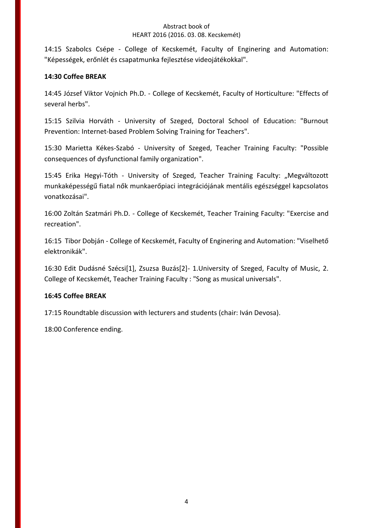14:15 Szabolcs Csépe - College of Kecskemét, Faculty of Enginering and Automation: "Képességek, erőnlét és csapatmunka fejlesztése videojátékokkal".

## **14:30 Coffee BREAK**

14:45 József Viktor Vojnich Ph.D. - College of Kecskemét, Faculty of Horticulture: "Effects of several herbs".

15:15 Szilvia Horváth - University of Szeged, Doctoral School of Education: "Burnout Prevention: Internet-based Problem Solving Training for Teachers".

15:30 Marietta Kékes-Szabó - University of Szeged, Teacher Training Faculty: "Possible consequences of dysfunctional family organization".

15:45 Erika Hegyi-Tóth - University of Szeged, Teacher Training Faculty: "Megváltozott munkaképességű fiatal nők munkaerőpiaci integrációjának mentális egészséggel kapcsolatos vonatkozásai".

16:00 Zoltán Szatmári Ph.D. - College of Kecskemét, Teacher Training Faculty: "Exercise and recreation".

16:15 Tibor Dobján - College of Kecskemét, Faculty of Enginering and Automation: "Viselhető elektronikák".

16:30 Edit Dudásné Szécsi[1], Zsuzsa Buzás[2]- 1.University of Szeged, Faculty of Music, 2. College of Kecskemét, Teacher Training Faculty : "Song as musical universals".

## **16:45 Coffee BREAK**

17:15 Roundtable discussion with lecturers and students (chair: Iván Devosa).

18:00 Conference ending.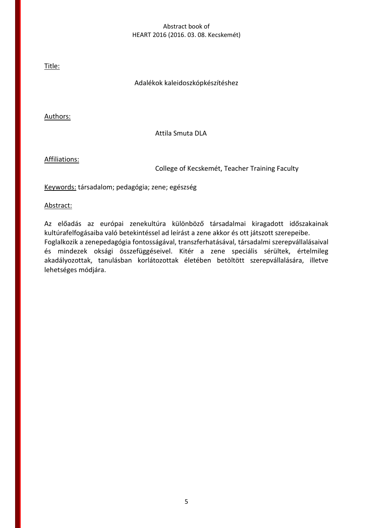Title:

## Adalékok kaleidoszkópkészítéshez

Authors:

Attila Smuta DLA

Affiliations:

College of Kecskemét, Teacher Training Faculty

Keywords: társadalom; pedagógia; zene; egészség

Abstract:

Az előadás az európai zenekultúra különböző társadalmai kiragadott időszakainak kultúrafelfogásaiba való betekintéssel ad leírást a zene akkor és ott játszott szerepeibe. Foglalkozik a zenepedagógia fontosságával, transzferhatásával, társadalmi szerepvállalásaival és mindezek oksági összefüggéseivel. Kitér a zene speciális sérültek, értelmileg akadályozottak, tanulásban korlátozottak életében betöltött szerepvállalására, illetve lehetséges módjára.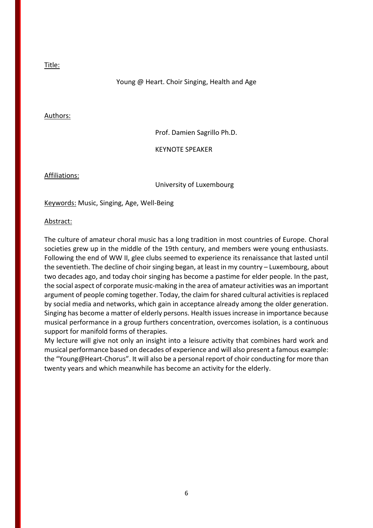### Young @ Heart. Choir Singing, Health and Age

#### Authors:

Prof. Damien Sagrillo Ph.D.

#### KEYNOTE SPEAKER

Affiliations:

University of Luxembourg

Keywords: Music, Singing, Age, Well-Being

#### Abstract:

The culture of amateur choral music has a long tradition in most countries of Europe. Choral societies grew up in the middle of the 19th century, and members were young enthusiasts. Following the end of WW II, glee clubs seemed to experience its renaissance that lasted until the seventieth. The decline of choir singing began, at least in my country – Luxembourg, about two decades ago, and today choir singing has become a pastime for elder people. In the past, the social aspect of corporate music-making in the area of amateur activities was an important argument of people coming together. Today, the claim for shared cultural activities is replaced by social media and networks, which gain in acceptance already among the older generation. Singing has become a matter of elderly persons. Health issues increase in importance because musical performance in a group furthers concentration, overcomes isolation, is a continuous support for manifold forms of therapies.

My lecture will give not only an insight into a leisure activity that combines hard work and musical performance based on decades of experience and will also present a famous example: the "Young@Heart-Chorus". It will also be a personal report of choir conducting for more than twenty years and which meanwhile has become an activity for the elderly.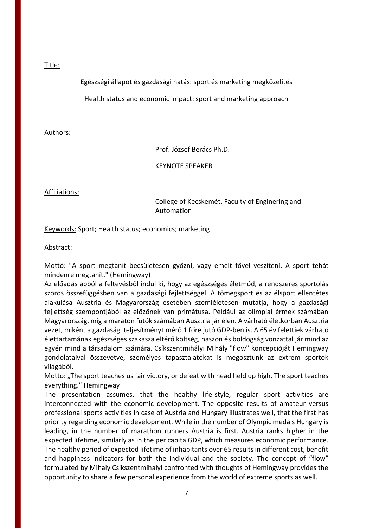Egészségi állapot és gazdasági hatás: sport és marketing megközelítés

Health status and economic impact: sport and marketing approach

## Authors:

Prof. József Berács Ph.D.

KEYNOTE SPEAKER

## Affiliations:

## College of Kecskemét, Faculty of Enginering and Automation

Keywords: Sport; Health status; economics; marketing

## Abstract:

Mottó: "A sport megtanít becsületesen győzni, vagy emelt fővel veszíteni. A sport tehát mindenre megtanít." (Hemingway)

Az előadás abból a feltevésből indul ki, hogy az egészséges életmód, a rendszeres sportolás szoros összefüggésben van a gazdasági fejlettséggel. A tömegsport és az élsport ellentétes alakulása Ausztria és Magyarország esetében szemléletesen mutatja, hogy a gazdasági fejlettség szempontjából az előzőnek van primátusa. Például az olimpiai érmek számában Magyarország, míg a maraton futók számában Ausztria jár élen. A várható életkorban Ausztria vezet, miként a gazdasági teljesítményt mérő 1 főre jutó GDP-ben is. A 65 év felettiek várható élettartamának egészséges szakasza eltérő költség, haszon és boldogság vonzattal jár mind az egyén mind a társadalom számára. Csíkszentmihályi Mihály "flow" koncepcióját Hemingway gondolataival összevetve, személyes tapasztalatokat is megosztunk az extrem sportok világából.

Motto: "The sport teaches us fair victory, or defeat with head held up high. The sport teaches everything." Hemingway

The presentation assumes, that the healthy life-style, regular sport activities are interconnected with the economic development. The opposite results of amateur versus professional sports activities in case of Austria and Hungary illustrates well, that the first has priority regarding economic development. While in the number of Olympic medals Hungary is leading, in the number of marathon runners Austria is first. Austria ranks higher in the expected lifetime, similarly as in the per capita GDP, which measures economic performance. The healthy period of expected lifetime of inhabitants over 65 results in different cost, benefit and happiness indicators for both the individual and the society. The concept of "flow" formulated by Mihaly Csikszentmihalyi confronted with thoughts of Hemingway provides the opportunity to share a few personal experience from the world of extreme sports as well.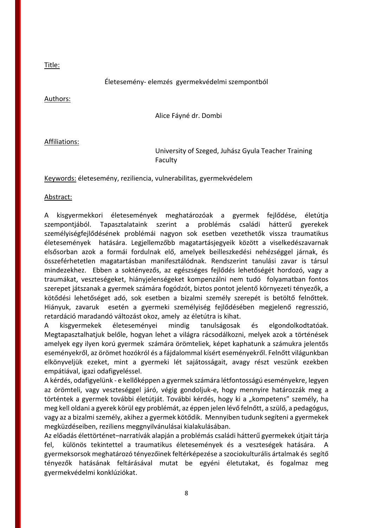## Életesemény- elemzés gyermekvédelmi szempontból

Authors:

Title:

Alice Fáyné dr. Dombi

Affiliations:

University of Szeged, Juhász Gyula Teacher Training Faculty

Keywords: életesemény, reziliencia, vulnerabilitas, gyermekvédelem

Abstract:

A kisgyermekkori életesemények meghatározóak a gyermek fejlődése, életútja szempontjából. Tapasztalataink szerint a problémás családi hátterű gyerekek személyiségfejlődésének problémái nagyon sok esetben vezethetők vissza traumatikus életesemények hatására. Legjellemzőbb magatartásjegyeik között a viselkedészavarnak elsősorban azok a formái fordulnak elő, amelyek beilleszkedési nehézséggel járnak, és összeférhetetlen magatartásban manifesztálódnak. Rendszerint tanulási zavar is társul mindezekhez. Ebben a soktényezős, az egészséges fejlődés lehetőségét hordozó, vagy a traumákat, veszteségeket, hiányjelenségeket kompenzálni nem tudó folyamatban fontos szerepet játszanak a gyermek számára fogódzót, biztos pontot jelentő környezeti tényezők, a kötődési lehetőséget adó, sok esetben a bizalmi személy szerepét is betöltő felnőttek. Hiányuk, zavaruk esetén a gyermeki személyiség fejlődésében megjelenő regresszió, retardáció maradandó változást okoz, amely az életútra is kihat.

A kisgyermekek életeseményei mindig tanulságosak és elgondolkodtatóak. Megtapasztalhatjuk belőle, hogyan lehet a világra rácsodálkozni, melyek azok a történések amelyek egy ilyen korú gyermek számára örömteliek, képet kaphatunk a számukra jelentős eseményekről, az örömet hozókról és a fájdalommal kísért eseményekről. Felnőtt világunkban elkönyveljük ezeket, mint a gyermeki lét sajátosságait, avagy részt veszünk ezekben empátiával, igazi odafigyeléssel.

A kérdés, odafigyelünk - e kellőképpen a gyermek számára létfontosságú eseményekre, legyen az örömteli, vagy veszteséggel járó, végig gondoljuk-e, hogy mennyire határozzák meg a történtek a gyermek további életútját. További kérdés, hogy ki a "kompetens" személy, ha meg kell oldani a gyerek körül egy problémát, az éppen jelen lévő felnőtt, a szülő, a pedagógus, vagy az a bizalmi személy, akihez a gyermek kötődik. Mennyiben tudunk segíteni a gyermekek megküzdéseiben, reziliens meggnyilvánulásai kialakulásában.

Az előadás élettörténet–narratívák alapján a problémás családi hátterű gyermekek útjait tárja fel, különös tekintettel a traumatikus életesemények és a veszteségek hatására. A gyermeksorsok meghatározó tényezőinek feltérképezése a szociokulturális ártalmak és segítő tényezők hatásának feltárásával mutat be egyéni életutakat, és fogalmaz meg gyermekvédelmi konklúziókat.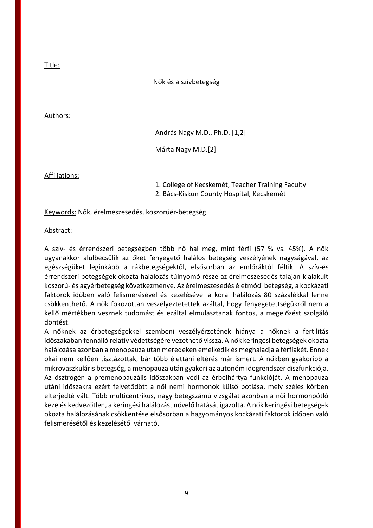Nők és a szívbetegség

#### Authors:

András Nagy M.D., Ph.D. [1,2]

Márta Nagy M.D.[2]

Affiliations:

1. College of Kecskemét, Teacher Training Faculty

2. Bács-Kiskun County Hospital, Kecskemét

Keywords: Nők, érelmeszesedés, koszorúér-betegség

#### Abstract:

A szív- és érrendszeri betegségben több nő hal meg, mint férfi (57 % vs. 45%). A nők ugyanakkor alulbecsülik az őket fenyegető halálos betegség veszélyének nagyságával, az egészségüket leginkább a rákbetegségektől, elsősorban az emlőráktól féltik. A szív-és érrendszeri betegségek okozta halálozás túlnyomó része az érelmeszesedés talaján kialakult koszorú- és agyérbetegség következménye. Az érelmeszesedés életmódi betegség, a kockázati faktorok időben való felismerésével és kezelésével a korai halálozás 80 százalékkal lenne csökkenthető. A nők fokozottan veszélyeztetettek azáltal, hogy fenyegetettségükről nem a kellő mértékben vesznek tudomást és ezáltal elmulasztanak fontos, a megelőzést szolgáló döntést.

A nőknek az érbetegségekkel szembeni veszélyérzetének hiánya a nőknek a fertilitás időszakában fennálló relatív védettségére vezethető vissza. A nők keringési betegségek okozta halálozása azonban a menopauza után meredeken emelkedik és meghaladja a férfiakét. Ennek okai nem kellően tisztázottak, bár több élettani eltérés már ismert. A nőkben gyakoribb a mikrovaszkuláris betegség, a menopauza után gyakori az autonóm idegrendszer diszfunkciója. Az ösztrogén a premenopauzális időszakban védi az érbelhártya funkcióját. A menopauza utáni időszakra ezért felvetődött a női nemi hormonok külső pótlása, mely széles körben elterjedté vált. Több multicentrikus, nagy betegszámú vizsgálat azonban a női hormonpótló kezelés kedvezőtlen, a keringési halálozást növelő hatását igazolta. A nők keringési betegségek okozta halálozásának csökkentése elsősorban a hagyományos kockázati faktorok időben való felismerésétől és kezelésétől várható.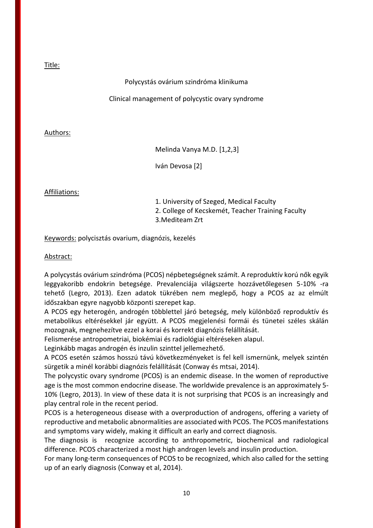## Polycystás ovárium szindróma klinikuma

## Clinical management of polycystic ovary syndrome

## Authors:

Melinda Vanya M.D. [1,2,3]

Iván Devosa [2]

## Affiliations:

1. University of Szeged, Medical Faculty

2. College of Kecskemét, Teacher Training Faculty

3.Mediteam Zrt

Keywords: polycisztás ovarium, diagnózis, kezelés

## Abstract:

A polycystás ovárium szindróma (PCOS) népbetegségnek számít. A reproduktív korú nők egyik leggyakoribb endokrin betegsége. Prevalenciája világszerte hozzávetőlegesen 5-10% -ra tehető (Legro, 2013). Ezen adatok tükrében nem meglepő, hogy a PCOS az az elmúlt időszakban egyre nagyobb központi szerepet kap.

A PCOS egy heterogén, androgén többlettel járó betegség, mely különböző reproduktív és metabolikus eltérésekkel jár együtt. A PCOS megjelenési formái és tünetei széles skálán mozognak, megnehezítve ezzel a korai és korrekt diagnózis felállítását.

Felismerése antropometriai, biokémiai és radiológiai eltéréseken alapul.

Leginkább magas androgén és inzulin szinttel jellemezhető.

A PCOS esetén számos hosszú távú következményeket is fel kell ismernünk, melyek szintén sürgetik a minél korábbi diagnózis felállítását (Conway és mtsai, 2014).

The polycystic ovary syndrome (PCOS) is an endemic disease. In the women of reproductive age is the most common endocrine disease. The worldwide prevalence is an approximately 5- 10% (Legro, 2013). In view of these data it is not surprising that PCOS is an increasingly and play central role in the recent period.

PCOS is a heterogeneous disease with a overproduction of androgens, offering a variety of reproductive and metabolic abnormalities are associated with PCOS. The PCOS manifestations and symptoms vary widely, making it difficult an early and correct diagnosis.

The diagnosis is recognize according to anthropometric, biochemical and radiological difference. PCOS characterized a most high androgen levels and insulin production.

For many long-term consequences of PCOS to be recognized, which also called for the setting up of an early diagnosis (Conway et al, 2014).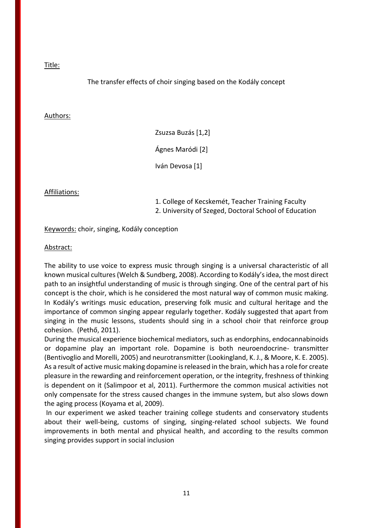## The transfer effects of choir singing based on the Kodály concept

#### Authors:

Zsuzsa Buzás [1,2] Ágnes Maródi [2] Iván Devosa [1]

Affiliations:

1. College of Kecskemét, Teacher Training Faculty

2. University of Szeged, Doctoral School of Education

Keywords: choir, singing, Kodály conception

#### Abstract:

The ability to use voice to express music through singing is a universal characteristic of all known musical cultures (Welch & Sundberg, 2008). According to Kodály's idea, the most direct path to an insightful understanding of music is through singing. One of the central part of his concept is the choir, which is he considered the most natural way of common music making. In Kodály's writings music education, preserving folk music and cultural heritage and the importance of common singing appear regularly together. Kodály suggested that apart from singing in the music lessons, students should sing in a school choir that reinforce group cohesion. (Pethő, 2011).

During the musical experience biochemical mediators, such as endorphins, endocannabinoids or dopamine play an important role. Dopamine is both neuroendocrine- transmitter (Bentivoglio and Morelli, 2005) and neurotransmitter (Lookingland, K. J., & Moore, K. E. 2005). As a result of active music making dopamine is released in the brain, which has a role for create pleasure in the rewarding and reinforcement operation, or the integrity, freshness of thinking is dependent on it (Salimpoor et al, 2011). Furthermore the common musical activities not only compensate for the stress caused changes in the immune system, but also slows down the aging process (Koyama et al, 2009).

In our experiment we asked teacher training college students and conservatory students about their well-being, customs of singing, singing-related school subjects. We found improvements in both mental and physical health, and according to the results common singing provides support in social inclusion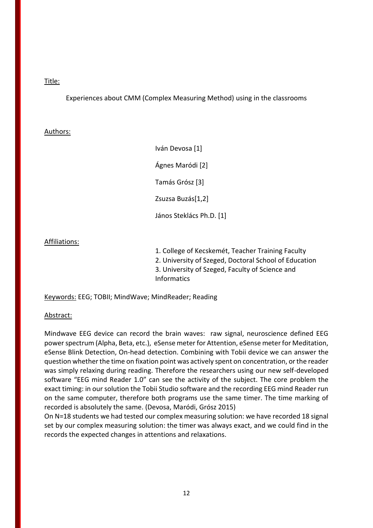Experiences about CMM (Complex Measuring Method) using in the classrooms

## Authors:

Iván Devosa [1] Ágnes Maródi [2] Tamás Grósz [3] Zsuzsa Buzás[1,2] János Steklács Ph.D. [1]

## Affiliations:

1. College of Kecskemét, Teacher Training Faculty 2. University of Szeged, Doctoral School of Education 3. University of Szeged, Faculty of Science and **Informatics** 

Keywords: EEG; TOBII; MindWave; MindReader; Reading

## Abstract:

Mindwave EEG device can record the brain waves: raw signal, neuroscience defined EEG power spectrum (Alpha, Beta, etc.), eSense meter for Attention, eSense meter for Meditation, eSense Blink Detection, On-head detection. Combining with Tobii device we can answer the question whether the time on fixation point was actively spent on concentration, or the reader was simply relaxing during reading. Therefore the researchers using our new self-developed software "EEG mind Reader 1.0" can see the activity of the subject. The core problem the exact timing: in our solution the Tobii Studio software and the recording EEG mind Reader run on the same computer, therefore both programs use the same timer. The time marking of recorded is absolutely the same. (Devosa, Maródi, Grósz 2015)

On N=18 students we had tested our complex measuring solution: we have recorded 18 signal set by our complex measuring solution: the timer was always exact, and we could find in the records the expected changes in attentions and relaxations.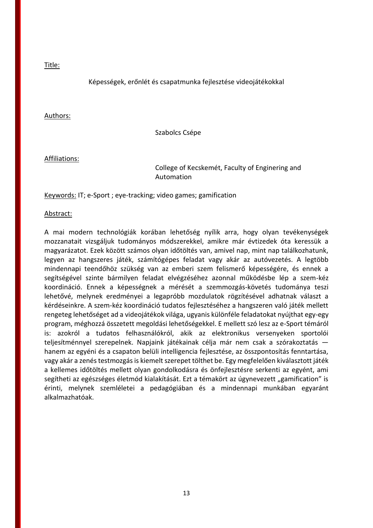## Képességek, erőnlét és csapatmunka fejlesztése videojátékokkal

#### Authors:

Szabolcs Csépe

Affiliations:

## College of Kecskemét, Faculty of Enginering and Automation

Keywords: IT; e-Sport ; eye-tracking; video games; gamification

#### Abstract:

A mai modern technológiák korában lehetőség nyílik arra, hogy olyan tevékenységek mozzanatait vizsgáljuk tudományos módszerekkel, amikre már évtizedek óta keressük a magyarázatot. Ezek között számos olyan időtöltés van, amivel nap, mint nap találkozhatunk, legyen az hangszeres játék, számítógépes feladat vagy akár az autóvezetés. A legtöbb mindennapi teendőhöz szükség van az emberi szem felismerő képességére, és ennek a segítségével szinte bármilyen feladat elvégzéséhez azonnal működésbe lép a szem-kéz koordináció. Ennek a képességnek a mérését a szemmozgás-követés tudománya teszi lehetővé, melynek eredményei a legapróbb mozdulatok rögzítésével adhatnak választ a kérdéseinkre. A szem-kéz koordináció tudatos fejlesztéséhez a hangszeren való játék mellett rengeteg lehetőséget ad a videojátékok világa, ugyanis különféle feladatokat nyújthat egy-egy program, méghozzá összetett megoldási lehetőségekkel. E mellett szó lesz az e-Sport témáról is: azokról a tudatos felhasználókról, akik az elektronikus versenyeken sportolói teljesítménnyel szerepelnek. Napjaink játékainak célja már nem csak a szórakoztatás hanem az egyéni és a csapaton belüli intelligencia fejlesztése, az összpontosítás fenntartása, vagy akár a zenés testmozgás is kiemelt szerepet tölthet be. Egy megfelelően kiválasztott játék a kellemes időtöltés mellett olyan gondolkodásra és önfejlesztésre serkenti az egyént, ami segítheti az egészséges életmód kialakítását. Ezt a témakört az úgynevezett "gamification" is érinti, melynek szemléletei a pedagógiában és a mindennapi munkában egyaránt alkalmazhatóak.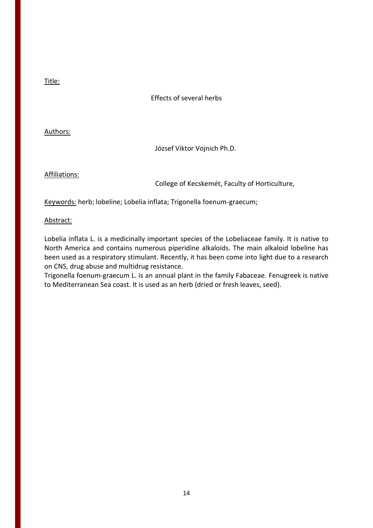## Effects of several herbs

Authors:

József Viktor Vojnich Ph.D.

Affiliations:

College of Kecskemét, Faculty of Horticulture,

Keywords: herb; lobeline; Lobelia inflata; Trigonella foenum-graecum;

Abstract:

Lobelia inflata L. is a medicinally important species of the Lobeliaceae family. It is native to North America and contains numerous piperidine alkaloids. The main alkaloid lobeline has been used as a respiratory stimulant. Recently, it has been come into light due to a research on CNS, drug abuse and multidrug resistance.

Trigonella foenum-graecum L. is an annual plant in the family Fabaceae. Fenugreek is native to Mediterranean Sea coast. It is used as an herb (dried or fresh leaves, seed).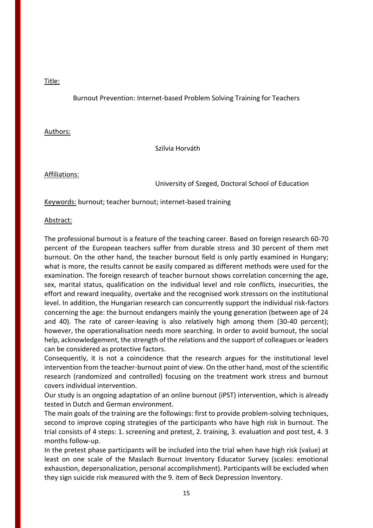Burnout Prevention: Internet-based Problem Solving Training for Teachers

## Authors:

Szilvia Horváth

## Affiliations:

University of Szeged, Doctoral School of Education

Keywords: burnout; teacher burnout; internet-based training

#### Abstract:

The professional burnout is a feature of the teaching career. Based on foreign research 60-70 percent of the European teachers suffer from durable stress and 30 percent of them met burnout. On the other hand, the teacher burnout field is only partly examined in Hungary; what is more, the results cannot be easily compared as different methods were used for the examination. The foreign research of teacher burnout shows correlation concerning the age, sex, marital status, qualification on the individual level and role conflicts, insecurities, the effort and reward inequality, overtake and the recognised work stressors on the institutional level. In addition, the Hungarian research can concurrently support the individual risk-factors concerning the age: the burnout endangers mainly the young generation (between age of 24 and 40). The rate of career-leaving is also relatively high among them (30-40 percent); however, the operationalisation needs more searching. In order to avoid burnout, the social help, acknowledgement, the strength of the relations and the support of colleagues or leaders can be considered as protective factors.

Consequently, it is not a coincidence that the research argues for the institutional level intervention from the teacher-burnout point of view. On the other hand, most of the scientific research (randomized and controlled) focusing on the treatment work stress and burnout covers individual intervention.

Our study is an ongoing adaptation of an online burnout (iPST) intervention, which is already tested in Dutch and German environment.

The main goals of the training are the followings: first to provide problem-solving techniques, second to improve coping strategies of the participants who have high risk in burnout. The trial consists of 4 steps: 1. screening and pretest, 2. training, 3. evaluation and post test, 4. 3 months follow-up.

In the pretest phase participants will be included into the trial when have high risk (value) at least on one scale of the Maslach Burnout Inventory Educator Survey (scales: emotional exhaustion, depersonalization, personal accomplishment). Participants will be excluded when they sign suicide risk measured with the 9. item of Beck Depression Inventory.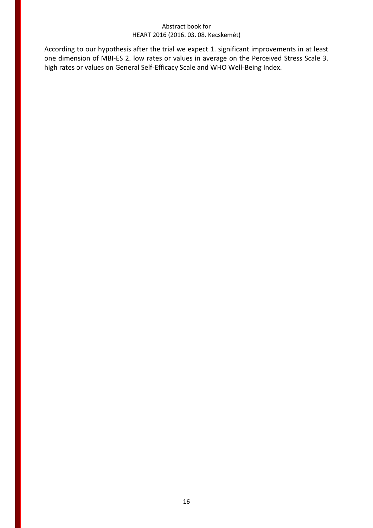According to our hypothesis after the trial we expect 1. significant improvements in at least one dimension of MBI-ES 2. low rates or values in average on the Perceived Stress Scale 3. high rates or values on General Self-Efficacy Scale and WHO Well-Being Index.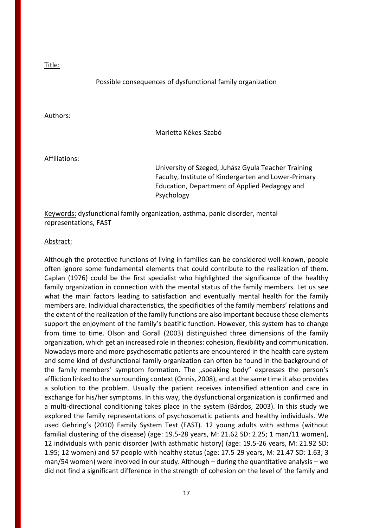#### Possible consequences of dysfunctional family organization

#### Authors:

Marietta Kékes-Szabó

#### Affiliations:

University of Szeged, Juhász Gyula Teacher Training Faculty, Institute of Kindergarten and Lower-Primary Education, Department of Applied Pedagogy and Psychology

Keywords: dysfunctional family organization, asthma, panic disorder, mental representations, FAST

#### Abstract:

Although the protective functions of living in families can be considered well-known, people often ignore some fundamental elements that could contribute to the realization of them. Caplan (1976) could be the first specialist who highlighted the significance of the healthy family organization in connection with the mental status of the family members. Let us see what the main factors leading to satisfaction and eventually mental health for the family members are. Individual characteristics, the specificities of the family members' relations and the extent of the realization of the family functions are also important because these elements support the enjoyment of the family's beatific function. However, this system has to change from time to time. Olson and Gorall (2003) distinguished three dimensions of the family organization, which get an increased role in theories: cohesion, flexibility and communication. Nowadays more and more psychosomatic patients are encountered in the health care system and some kind of dysfunctional family organization can often be found in the background of the family members' symptom formation. The "speaking body" expresses the person's affliction linked to the surrounding context (Onnis, 2008), and at the same time it also provides a solution to the problem. Usually the patient receives intensified attention and care in exchange for his/her symptoms. In this way, the dysfunctional organization is confirmed and a multi-directional conditioning takes place in the system (Bárdos, 2003). In this study we explored the family representations of psychosomatic patients and healthy individuals. We used Gehring's (2010) Family System Test (FAST). 12 young adults with asthma (without familial clustering of the disease) (age: 19.5-28 years, M: 21.62 SD: 2.25; 1 man/11 women), 12 individuals with panic disorder (with asthmatic history) (age: 19.5-26 years, M: 21.92 SD: 1.95; 12 women) and 57 people with healthy status (age: 17.5-29 years, M: 21.47 SD: 1.63; 3 man/54 women) were involved in our study. Although – during the quantitative analysis – we did not find a significant difference in the strength of cohesion on the level of the family and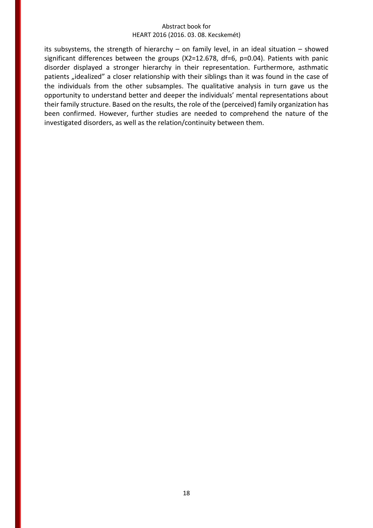its subsystems, the strength of hierarchy – on family level, in an ideal situation – showed significant differences between the groups (X2=12.678, df=6, p=0.04). Patients with panic disorder displayed a stronger hierarchy in their representation. Furthermore, asthmatic patients "idealized" a closer relationship with their siblings than it was found in the case of the individuals from the other subsamples. The qualitative analysis in turn gave us the opportunity to understand better and deeper the individuals' mental representations about their family structure. Based on the results, the role of the (perceived) family organization has been confirmed. However, further studies are needed to comprehend the nature of the investigated disorders, as well as the relation/continuity between them.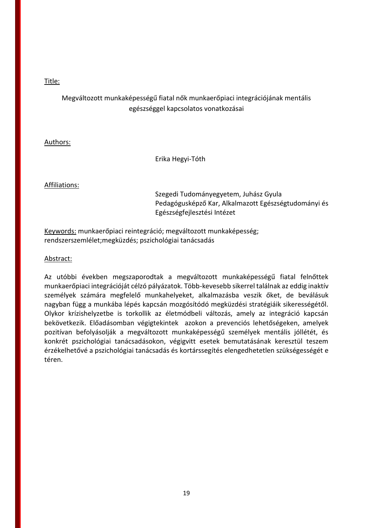## Megváltozott munkaképességű fiatal nők munkaerőpiaci integrációjának mentális egészséggel kapcsolatos vonatkozásai

## Authors:

Erika Hegyi-Tóth

## Affiliations:

Szegedi Tudományegyetem, Juhász Gyula Pedagógusképző Kar, Alkalmazott Egészségtudományi és Egészségfejlesztési Intézet

Keywords: munkaerőpiaci reintegráció; megváltozott munkaképesség; rendszerszemlélet;megküzdés; pszichológiai tanácsadás

## Abstract:

Az utóbbi években megszaporodtak a megváltozott munkaképességű fiatal felnőttek munkaerőpiaci integrációját célzó pályázatok. Több-kevesebb sikerrel találnak az eddig inaktív személyek számára megfelelő munkahelyeket, alkalmazásba veszik őket, de beválásuk nagyban függ a munkába lépés kapcsán mozgósítódó megküzdési stratégiáik sikerességétől. Olykor krízishelyzetbe is torkollik az életmódbeli változás, amely az integráció kapcsán bekövetkezik. Előadásomban végigtekintek azokon a prevenciós lehetőségeken, amelyek pozitívan befolyásolják a megváltozott munkaképességű személyek mentális jóllétét, és konkrét pszichológiai tanácsadásokon, végigvitt esetek bemutatásának keresztül teszem érzékelhetővé a pszichológiai tanácsadás és kortárssegítés elengedhetetlen szükségességét e téren.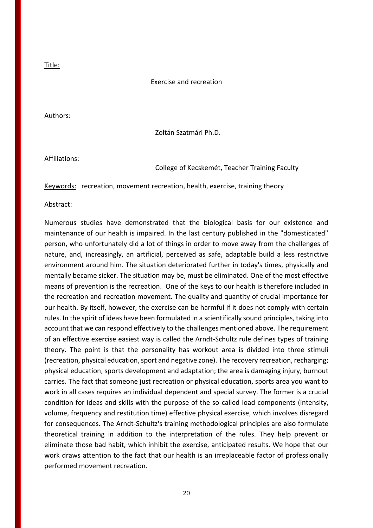#### Exercise and recreation

#### Authors:

Zoltán Szatmári Ph.D.

#### Affiliations:

#### College of Kecskemét, Teacher Training Faculty

Keywords: recreation, movement recreation, health, exercise, training theory

#### Abstract:

Numerous studies have demonstrated that the biological basis for our existence and maintenance of our health is impaired. In the last century published in the "domesticated" person, who unfortunately did a lot of things in order to move away from the challenges of nature, and, increasingly, an artificial, perceived as safe, adaptable build a less restrictive environment around him. The situation deteriorated further in today's times, physically and mentally became sicker. The situation may be, must be eliminated. One of the most effective means of prevention is the recreation. One of the keys to our health is therefore included in the recreation and recreation movement. The quality and quantity of crucial importance for our health. By itself, however, the exercise can be harmful if it does not comply with certain rules. In the spirit of ideas have been formulated in a scientifically sound principles, taking into account that we can respond effectively to the challenges mentioned above. The requirement of an effective exercise easiest way is called the Arndt-Schultz rule defines types of training theory. The point is that the personality has workout area is divided into three stimuli (recreation, physical education, sport and negative zone). The recovery recreation, recharging; physical education, sports development and adaptation; the area is damaging injury, burnout carries. The fact that someone just recreation or physical education, sports area you want to work in all cases requires an individual dependent and special survey. The former is a crucial condition for ideas and skills with the purpose of the so-called load components (intensity, volume, frequency and restitution time) effective physical exercise, which involves disregard for consequences. The Arndt-Schultz's training methodological principles are also formulate theoretical training in addition to the interpretation of the rules. They help prevent or eliminate those bad habit, which inhibit the exercise, anticipated results. We hope that our work draws attention to the fact that our health is an irreplaceable factor of professionally performed movement recreation.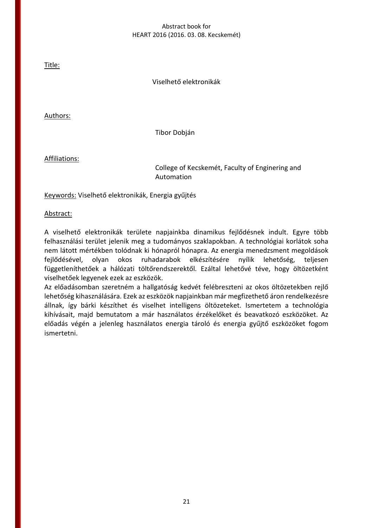Title:

Viselhető elektronikák

Authors:

Tibor Dobján

Affiliations:

College of Kecskemét, Faculty of Enginering and Automation

Keywords: Viselhető elektronikák, Energia gyűjtés

Abstract:

A viselhető elektronikák területe napjainkba dinamikus fejlődésnek indult. Egyre több felhasználási terület jelenik meg a tudományos szaklapokban. A technológiai korlátok soha nem látott mértékben tolódnak ki hónapról hónapra. Az energia menedzsment megoldások fejlődésével, olyan okos ruhadarabok elkészítésére nyílik lehetőség, teljesen függetleníthetőek a hálózati töltőrendszerektől. Ezáltal lehetővé téve, hogy öltözetként viselhetőek legyenek ezek az eszközök.

Az előadásomban szeretném a hallgatóság kedvét felébreszteni az okos öltözetekben rejlő lehetőség kihasználására. Ezek az eszközök napjainkban már megfizethető áron rendelkezésre állnak, így bárki készíthet és viselhet intelligens öltözeteket. Ismertetem a technológia kihívásait, majd bemutatom a már használatos érzékelőket és beavatkozó eszközöket. Az előadás végén a jelenleg használatos energia tároló és energia gyűjtő eszközöket fogom ismertetni.